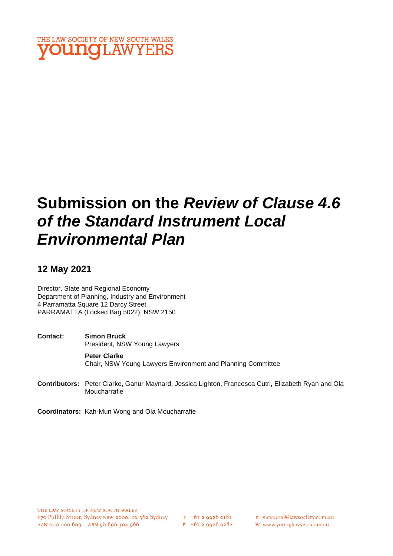

# **Submission on the** *Review of Clause 4.6 of the Standard Instrument Local Environmental Plan*

## **12 May 2021**

Director, State and Regional Economy Department of Planning, Industry and Environment 4 Parramatta Square 12 Darcy Street PARRAMATTA (Locked Bag 5022), NSW 2150

**Contact: Simon Bruck** President, NSW Young Lawyers **Peter Clarke** Chair, NSW Young Lawyers Environment and Planning Committee

- **Contributors:** Peter Clarke, Ganur Maynard, Jessica Lighton, Francesca Cutri, Elizabeth Ryan and Ola Moucharrafie
- **Coordinators:** Kah-Mun Wong and Ola Moucharrafie

- E ylgeneral@lawsociety.com.au
- w www.younglawyers.com.au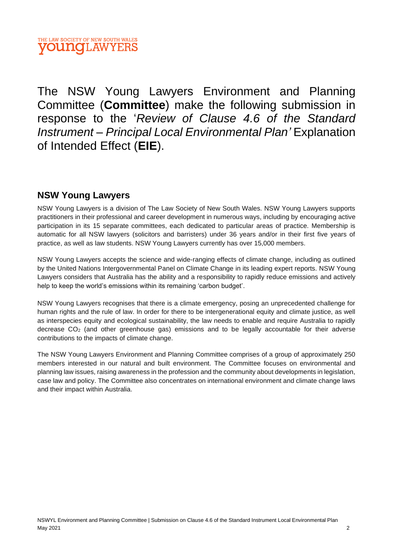The NSW Young Lawyers Environment and Planning Committee (**Committee**) make the following submission in response to the '*Review of Clause 4.6 of the Standard Instrument – Principal Local Environmental Plan'* Explanation of Intended Effect (**EIE**).

## **NSW Young Lawyers**

NSW Young Lawyers is a division of The Law Society of New South Wales. NSW Young Lawyers supports practitioners in their professional and career development in numerous ways, including by encouraging active participation in its 15 separate committees, each dedicated to particular areas of practice. Membership is automatic for all NSW lawyers (solicitors and barristers) under 36 years and/or in their first five years of practice, as well as law students. NSW Young Lawyers currently has over 15,000 members.

NSW Young Lawyers accepts the science and wide-ranging effects of climate change, including as outlined by the United Nations Intergovernmental Panel on Climate Change in its leading expert reports. NSW Young Lawyers considers that Australia has the ability and a responsibility to rapidly reduce emissions and actively help to keep the world's emissions within its remaining 'carbon budget'.

NSW Young Lawyers recognises that there is a climate emergency, posing an unprecedented challenge for human rights and the rule of law. In order for there to be intergenerational equity and climate justice, as well as interspecies equity and ecological sustainability, the law needs to enable and require Australia to rapidly decrease  $CO<sub>2</sub>$  (and other greenhouse gas) emissions and to be legally accountable for their adverse contributions to the impacts of climate change.

The NSW Young Lawyers Environment and Planning Committee comprises of a group of approximately 250 members interested in our natural and built environment. The Committee focuses on environmental and planning law issues, raising awareness in the profession and the community about developments in legislation, case law and policy. The Committee also concentrates on international environment and climate change laws and their impact within Australia.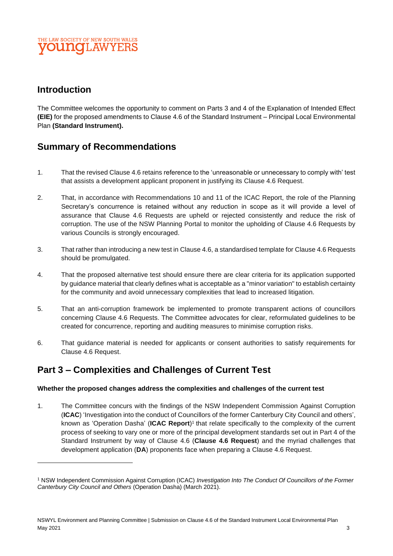### THE LAW SOCIETY OF NEW SOUTH WALES **OUNCLAWYE**

# **Introduction**

The Committee welcomes the opportunity to comment on Parts 3 and 4 of the Explanation of Intended Effect **(EIE)** for the proposed amendments to Clause 4.6 of the Standard Instrument – Principal Local Environmental Plan **(Standard Instrument).** 

## **Summary of Recommendations**

- 1. That the revised Clause 4.6 retains reference to the 'unreasonable or unnecessary to comply with' test that assists a development applicant proponent in justifying its Clause 4.6 Request.
- 2. That, in accordance with Recommendations 10 and 11 of the ICAC Report, the role of the Planning Secretary's concurrence is retained without any reduction in scope as it will provide a level of assurance that Clause 4.6 Requests are upheld or rejected consistently and reduce the risk of corruption. The use of the NSW Planning Portal to monitor the upholding of Clause 4.6 Requests by various Councils is strongly encouraged.
- 3. That rather than introducing a new test in Clause 4.6, a standardised template for Clause 4.6 Requests should be promulgated.
- 4. That the proposed alternative test should ensure there are clear criteria for its application supported by guidance material that clearly defines what is acceptable as a "minor variation" to establish certainty for the community and avoid unnecessary complexities that lead to increased litigation.
- 5. That an anti-corruption framework be implemented to promote transparent actions of councillors concerning Clause 4.6 Requests. The Committee advocates for clear, reformulated guidelines to be created for concurrence, reporting and auditing measures to minimise corruption risks.
- 6. That guidance material is needed for applicants or consent authorities to satisfy requirements for Clause 4.6 Request.

## **Part 3 – Complexities and Challenges of Current Test**

#### **Whether the proposed changes address the complexities and challenges of the current test**

1. The Committee concurs with the findings of the NSW Independent Commission Against Corruption (**ICAC**) 'Investigation into the conduct of Councillors of the former Canterbury City Council and others', known as 'Operation Dasha' (**ICAC Report**) 1 that relate specifically to the complexity of the current process of seeking to vary one or more of the principal development standards set out in Part 4 of the Standard Instrument by way of Clause 4.6 (**Clause 4.6 Request**) and the myriad challenges that development application (**DA**) proponents face when preparing a Clause 4.6 Request.

<sup>1</sup> NSW Independent Commission Against Corruption (ICAC) *Investigation Into The Conduct Of Councillors of the Former Canterbury City Council and Others* (Operation Dasha) (March 2021).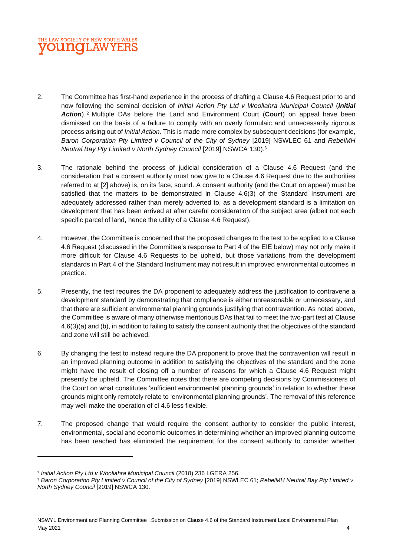

- <span id="page-3-0"></span>2. The Committee has first-hand experience in the process of drafting a Clause 4.6 Request prior to and now following the seminal decision of *Initial Action Pty Ltd v Woollahra Municipal Council* (*Initial Action*). <sup>2</sup> Multiple DAs before the Land and Environment Court (**Court**) on appeal have been dismissed on the basis of a failure to comply with an overly formulaic and unnecessarily rigorous process arising out of *Initial Action.* This is made more complex by subsequent decisions (for example, *Baron Corporation Pty Limited v Council of the City of Sydney* [2019] NSWLEC 61 and *RebelMH Neutral Bay Pty Limited v North Sydney Council* [2019] NSWCA 130).<sup>3</sup>
- 3. The rationale behind the process of judicial consideration of a Clause 4.6 Request (and the consideration that a consent authority must now give to a Clause 4.6 Request due to the authorities referred to at [\[2\]](#page-3-0) above) is, on its face, sound. A consent authority (and the Court on appeal) must be satisfied that the matters to be demonstrated in Clause 4.6(3) of the Standard Instrument are adequately addressed rather than merely adverted to, as a development standard is a limitation on development that has been arrived at after careful consideration of the subject area (albeit not each specific parcel of land, hence the utility of a Clause 4.6 Request).
- 4. However, the Committee is concerned that the proposed changes to the test to be applied to a Clause 4.6 Request (discussed in the Committee's response to Part 4 of the EIE below) may not only make it more difficult for Clause 4.6 Requests to be upheld, but those variations from the development standards in Part 4 of the Standard Instrument may not result in improved environmental outcomes in practice.
- 5. Presently, the test requires the DA proponent to adequately address the justification to contravene a development standard by demonstrating that compliance is either unreasonable or unnecessary, and that there are sufficient environmental planning grounds justifying that contravention. As noted above, the Committee is aware of many otherwise meritorious DAs that fail to meet the two-part test at Clause 4.6(3)(a) and (b), in addition to failing to satisfy the consent authority that the objectives of the standard and zone will still be achieved.
- 6. By changing the test to instead require the DA proponent to prove that the contravention will result in an improved planning outcome in addition to satisfying the objectives of the standard and the zone might have the result of closing off a number of reasons for which a Clause 4.6 Request might presently be upheld. The Committee notes that there are competing decisions by Commissioners of the Court on what constitutes 'sufficient environmental planning grounds' in relation to whether these grounds might only remotely relate to 'environmental planning grounds'. The removal of this reference may well make the operation of cl 4.6 less flexible.
- 7. The proposed change that would require the consent authority to consider the public interest, environmental, social and economic outcomes in determining whether an improved planning outcome has been reached has eliminated the requirement for the consent authority to consider whether

<sup>2</sup> *Initial Action Pty Ltd v Woollahra Municipal Council* (2018) 236 LGERA 256.

<sup>3</sup> *Baron Corporation Pty Limited v Council of the City of Sydney* [2019] NSWLEC 61; *RebelMH Neutral Bay Pty Limited v North Sydney Council* [2019] NSWCA 130.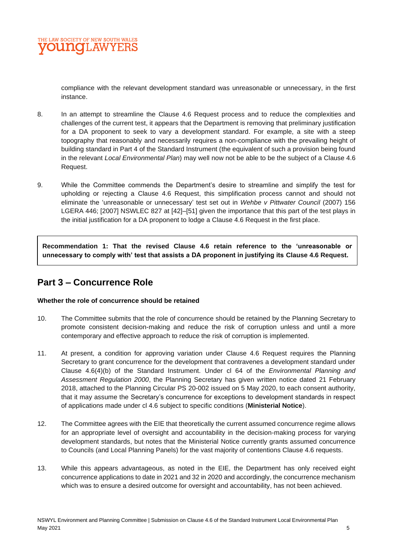compliance with the relevant development standard was unreasonable or unnecessary, in the first instance.

- 8. In an attempt to streamline the Clause 4.6 Request process and to reduce the complexities and challenges of the current test, it appears that the Department is removing that preliminary justification for a DA proponent to seek to vary a development standard. For example, a site with a steep topography that reasonably and necessarily requires a non-compliance with the prevailing height of building standard in Part 4 of the Standard Instrument (the equivalent of such a provision being found in the relevant *Local Environmental Plan*) may well now not be able to be the subject of a Clause 4.6 Request.
- 9. While the Committee commends the Department's desire to streamline and simplify the test for upholding or rejecting a Clause 4.6 Request, this simplification process cannot and should not eliminate the 'unreasonable or unnecessary' test set out in *Wehbe v Pittwater Council* (2007) 156 LGERA 446; [2007] NSWLEC 827 at [42]–[51] given the importance that this part of the test plays in the initial justification for a DA proponent to lodge a Clause 4.6 Request in the first place.

**Recommendation 1: That the revised Clause 4.6 retain reference to the 'unreasonable or unnecessary to comply with' test that assists a DA proponent in justifying its Clause 4.6 Request.**

# **Part 3 – Concurrence Role**

#### **Whether the role of concurrence should be retained**

- 10. The Committee submits that the role of concurrence should be retained by the Planning Secretary to promote consistent decision-making and reduce the risk of corruption unless and until a more contemporary and effective approach to reduce the risk of corruption is implemented.
- 11. At present, a condition for approving variation under Clause 4.6 Request requires the Planning Secretary to grant concurrence for the development that contravenes a development standard under Clause 4.6(4)(b) of the Standard Instrument. Under cl 64 of the *Environmental Planning and Assessment Regulation 2000*, the Planning Secretary has given written notice dated 21 February 2018, attached to the Planning Circular PS 20-002 issued on 5 May 2020, to each consent authority, that it may assume the Secretary's concurrence for exceptions to development standards in respect of applications made under cl 4.6 subject to specific conditions (**Ministerial Notice**).
- 12. The Committee agrees with the EIE that theoretically the current assumed concurrence regime allows for an appropriate level of oversight and accountability in the decision-making process for varying development standards, but notes that the Ministerial Notice currently grants assumed concurrence to Councils (and Local Planning Panels) for the vast majority of contentions Clause 4.6 requests.
- 13. While this appears advantageous, as noted in the EIE, the Department has only received eight concurrence applications to date in 2021 and 32 in 2020 and accordingly, the concurrence mechanism which was to ensure a desired outcome for oversight and accountability, has not been achieved.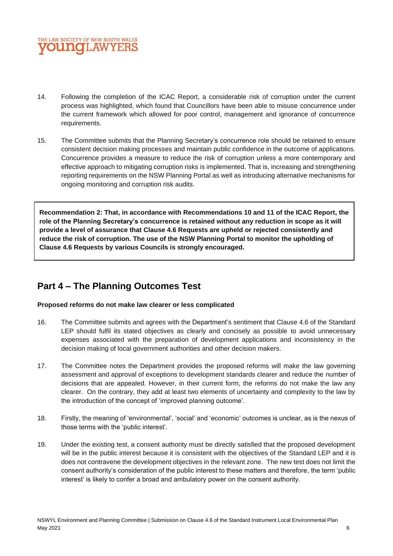

- 14. Following the completion of the ICAC Report, a considerable risk of corruption under the current process was highlighted, which found that Councillors have been able to misuse concurrence under the current framework which allowed for poor control, management and ignorance of concurrence requirements.
- 15. The Committee submits that the Planning Secretary's concurrence role should be retained to ensure consistent decision making processes and maintain public confidence in the outcome of applications. Concurrence provides a measure to reduce the risk of corruption unless a more contemporary and effective approach to mitigating corruption risks is implemented. That is, increasing and strengthening reporting requirements on the NSW Planning Portal as well as introducing alternative mechanisms for ongoing monitoring and corruption risk audits.

**Recommendation 2: That, in accordance with Recommendations 10 and 11 of the ICAC Report, the role of the Planning Secretary's concurrence is retained without any reduction in scope as it will provide a level of assurance that Clause 4.6 Requests are upheld or rejected consistently and reduce the risk of corruption. The use of the NSW Planning Portal to monitor the upholding of Clause 4.6 Requests by various Councils is strongly encouraged.**

## **Part 4 – The Planning Outcomes Test**

#### **Proposed reforms do not make law clearer or less complicated**

- 16. The Committee submits and agrees with the Department's sentiment that Clause 4.6 of the Standard LEP should fulfil its stated objectives as clearly and concisely as possible to avoid unnecessary expenses associated with the preparation of development applications and inconsistency in the decision making of local government authorities and other decision makers.
- 17. The Committee notes the Department provides the proposed reforms will make the law governing assessment and approval of exceptions to development standards clearer and reduce the number of decisions that are appealed. However, in their current form, the reforms do not make the law any clearer. On the contrary, they add at least two elements of uncertainty and complexity to the law by the introduction of the concept of 'improved planning outcome'.
- 18. Firstly, the meaning of 'environmental', 'social' and 'economic' outcomes is unclear, as is the nexus of those terms with the 'public interest'.
- 19. Under the existing test, a consent authority must be directly satisfied that the proposed development will be in the public interest because it is consistent with the objectives of the Standard LEP and it is does not contravene the development objectives in the relevant zone. The new test does not limit the consent authority's consideration of the public interest to these matters and therefore, the term 'public interest' is likely to confer a broad and ambulatory power on the consent authority.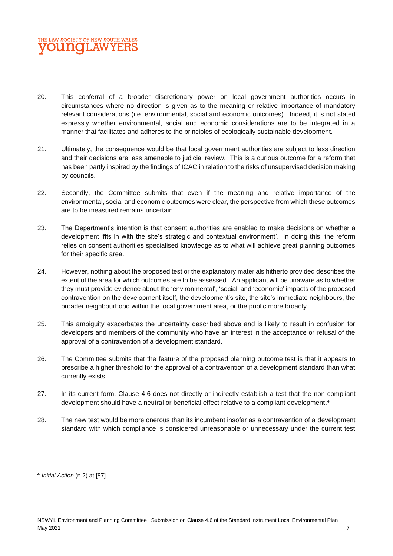

- 20. This conferral of a broader discretionary power on local government authorities occurs in circumstances where no direction is given as to the meaning or relative importance of mandatory relevant considerations (i.e. environmental, social and economic outcomes). Indeed, it is not stated expressly whether environmental, social and economic considerations are to be integrated in a manner that facilitates and adheres to the principles of ecologically sustainable development.
- 21. Ultimately, the consequence would be that local government authorities are subject to less direction and their decisions are less amenable to judicial review. This is a curious outcome for a reform that has been partly inspired by the findings of ICAC in relation to the risks of unsupervised decision making by councils.
- 22. Secondly, the Committee submits that even if the meaning and relative importance of the environmental, social and economic outcomes were clear, the perspective from which these outcomes are to be measured remains uncertain.
- 23. The Department's intention is that consent authorities are enabled to make decisions on whether a development 'fits in with the site's strategic and contextual environment'. In doing this, the reform relies on consent authorities specialised knowledge as to what will achieve great planning outcomes for their specific area.
- 24. However, nothing about the proposed test or the explanatory materials hitherto provided describes the extent of the area for which outcomes are to be assessed. An applicant will be unaware as to whether they must provide evidence about the 'environmental', 'social' and 'economic' impacts of the proposed contravention on the development itself, the development's site, the site's immediate neighbours, the broader neighbourhood within the local government area, or the public more broadly.
- 25. This ambiguity exacerbates the uncertainty described above and is likely to result in confusion for developers and members of the community who have an interest in the acceptance or refusal of the approval of a contravention of a development standard.
- 26. The Committee submits that the feature of the proposed planning outcome test is that it appears to prescribe a higher threshold for the approval of a contravention of a development standard than what currently exists.
- 27. In its current form, Clause 4.6 does not directly or indirectly establish a test that the non-compliant development should have a neutral or beneficial effect relative to a compliant development. 4
- 28. The new test would be more onerous than its incumbent insofar as a contravention of a development standard with which compliance is considered unreasonable or unnecessary under the current test

<sup>4</sup> *Initial Action* (n 2) at [87].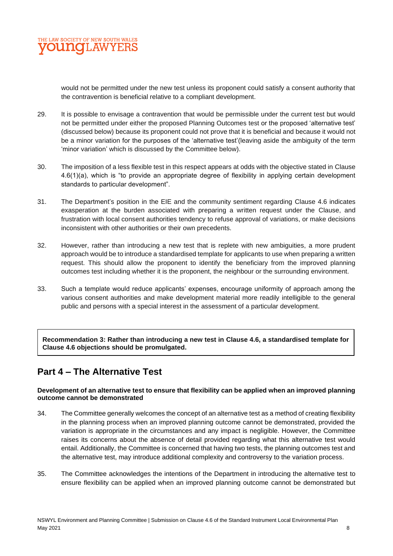

would not be permitted under the new test unless its proponent could satisfy a consent authority that the contravention is beneficial relative to a compliant development.

- 29. It is possible to envisage a contravention that would be permissible under the current test but would not be permitted under either the proposed Planning Outcomes test or the proposed 'alternative test' (discussed below) because its proponent could not prove that it is beneficial and because it would not be a minor variation for the purposes of the 'alternative test'(leaving aside the ambiguity of the term 'minor variation' which is discussed by the Committee below).
- 30. The imposition of a less flexible test in this respect appears at odds with the objective stated in Clause 4.6(1)(a), which is "to provide an appropriate degree of flexibility in applying certain development standards to particular development".
- 31. The Department's position in the EIE and the community sentiment regarding Clause 4.6 indicates exasperation at the burden associated with preparing a written request under the Clause, and frustration with local consent authorities tendency to refuse approval of variations, or make decisions inconsistent with other authorities or their own precedents.
- 32. However, rather than introducing a new test that is replete with new ambiguities, a more prudent approach would be to introduce a standardised template for applicants to use when preparing a written request. This should allow the proponent to identify the beneficiary from the improved planning outcomes test including whether it is the proponent, the neighbour or the surrounding environment.
- 33. Such a template would reduce applicants' expenses, encourage uniformity of approach among the various consent authorities and make development material more readily intelligible to the general public and persons with a special interest in the assessment of a particular development.

**Recommendation 3: Rather than introducing a new test in Clause 4.6, a standardised template for Clause 4.6 objections should be promulgated.**

# **Part 4 – The Alternative Test**

#### **Development of an alternative test to ensure that flexibility can be applied when an improved planning outcome cannot be demonstrated**

- 34. The Committee generally welcomes the concept of an alternative test as a method of creating flexibility in the planning process when an improved planning outcome cannot be demonstrated, provided the variation is appropriate in the circumstances and any impact is negligible. However, the Committee raises its concerns about the absence of detail provided regarding what this alternative test would entail. Additionally, the Committee is concerned that having two tests, the planning outcomes test and the alternative test, may introduce additional complexity and controversy to the variation process.
- 35. The Committee acknowledges the intentions of the Department in introducing the alternative test to ensure flexibility can be applied when an improved planning outcome cannot be demonstrated but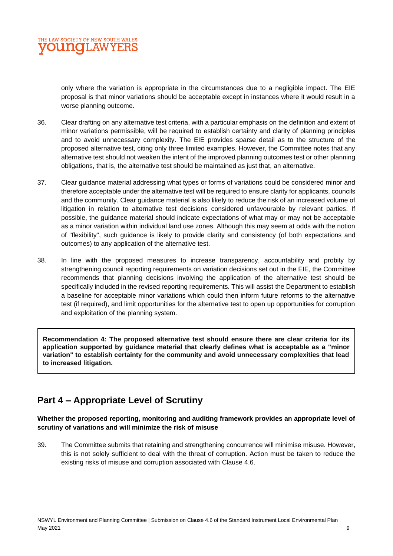only where the variation is appropriate in the circumstances due to a negligible impact. The EIE proposal is that minor variations should be acceptable except in instances where it would result in a worse planning outcome.

- 36. Clear drafting on any alternative test criteria, with a particular emphasis on the definition and extent of minor variations permissible, will be required to establish certainty and clarity of planning principles and to avoid unnecessary complexity. The EIE provides sparse detail as to the structure of the proposed alternative test, citing only three limited examples. However, the Committee notes that any alternative test should not weaken the intent of the improved planning outcomes test or other planning obligations, that is, the alternative test should be maintained as just that, an alternative.
- 37. Clear guidance material addressing what types or forms of variations could be considered minor and therefore acceptable under the alternative test will be required to ensure clarity for applicants, councils and the community. Clear guidance material is also likely to reduce the risk of an increased volume of litigation in relation to alternative test decisions considered unfavourable by relevant parties. If possible, the guidance material should indicate expectations of what may or may not be acceptable as a minor variation within individual land use zones. Although this may seem at odds with the notion of "flexibility", such guidance is likely to provide clarity and consistency (of both expectations and outcomes) to any application of the alternative test.
- 38. In line with the proposed measures to increase transparency, accountability and probity by strengthening council reporting requirements on variation decisions set out in the EIE, the Committee recommends that planning decisions involving the application of the alternative test should be specifically included in the revised reporting requirements. This will assist the Department to establish a baseline for acceptable minor variations which could then inform future reforms to the alternative test (if required), and limit opportunities for the alternative test to open up opportunities for corruption and exploitation of the planning system.

**Recommendation 4: The proposed alternative test should ensure there are clear criteria for its application supported by guidance material that clearly defines what is acceptable as a "minor variation" to establish certainty for the community and avoid unnecessary complexities that lead to increased litigation.**

# **Part 4 – Appropriate Level of Scrutiny**

#### **Whether the proposed reporting, monitoring and auditing framework provides an appropriate level of scrutiny of variations and will minimize the risk of misuse**

39. The Committee submits that retaining and strengthening concurrence will minimise misuse. However, this is not solely sufficient to deal with the threat of corruption. Action must be taken to reduce the existing risks of misuse and corruption associated with Clause 4.6.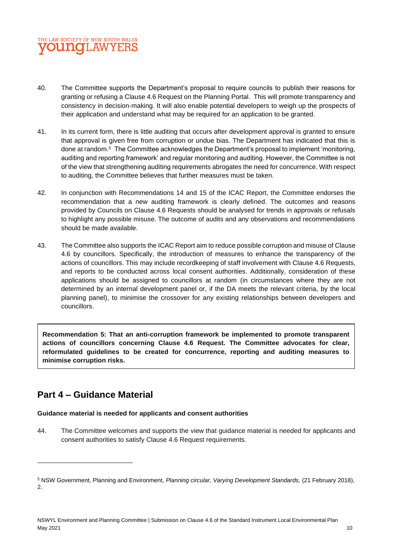### THE LAW SOCIETY OF NEW SOUTH WALES **OUNCLAWYE**

- 40. The Committee supports the Department's proposal to require councils to publish their reasons for granting or refusing a Clause 4.6 Request on the Planning Portal. This will promote transparency and consistency in decision-making. It will also enable potential developers to weigh up the prospects of their application and understand what may be required for an application to be granted.
- 41. In its current form, there is little auditing that occurs after development approval is granted to ensure that approval is given free from corruption or undue bias. The Department has indicated that this is done at random.<sup>5</sup> The Committee acknowledges the Department's proposal to implement 'monitoring, auditing and reporting framework' and regular monitoring and auditing. However, the Committee is not of the view that strengthening auditing requirements abrogates the need for concurrence. With respect to auditing, the Committee believes that further measures must be taken.
- 42. In conjunction with Recommendations 14 and 15 of the ICAC Report, the Committee endorses the recommendation that a new auditing framework is clearly defined. The outcomes and reasons provided by Councils on Clause 4.6 Requests should be analysed for trends in approvals or refusals to highlight any possible misuse. The outcome of audits and any observations and recommendations should be made available.
- 43. The Committee also supports the ICAC Report aim to reduce possible corruption and misuse of Clause 4.6 by councillors. Specifically, the introduction of measures to enhance the transparency of the actions of councillors. This may include recordkeeping of staff involvement with Clause 4.6 Requests, and reports to be conducted across local consent authorities. Additionally, consideration of these applications should be assigned to councillors at random (in circumstances where they are not determined by an internal development panel or, if the DA meets the relevant criteria, by the local planning panel), to minimise the crossover for any existing relationships between developers and councillors.

**Recommendation 5: That an anti-corruption framework be implemented to promote transparent actions of councillors concerning Clause 4.6 Request. The Committee advocates for clear, reformulated guidelines to be created for concurrence, reporting and auditing measures to minimise corruption risks.** 

# **Part 4 – Guidance Material**

#### **Guidance material is needed for applicants and consent authorities**

44. The Committee welcomes and supports the view that guidance material is needed for applicants and consent authorities to satisfy Clause 4.6 Request requirements.

<sup>5</sup> NSW Government, Planning and Environment, *Planning circular, Varying Development Standards,* (21 February 2018), 2.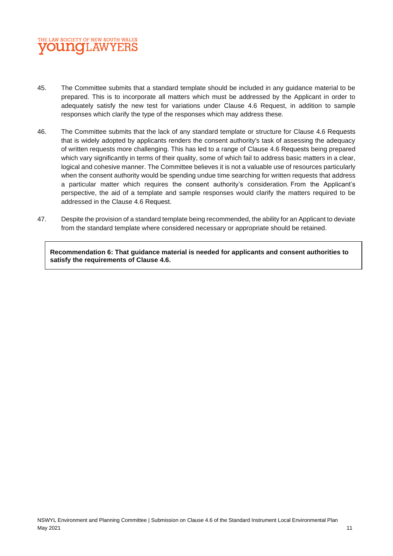

- 45. The Committee submits that a standard template should be included in any guidance material to be prepared. This is to incorporate all matters which must be addressed by the Applicant in order to adequately satisfy the new test for variations under Clause 4.6 Request, in addition to sample responses which clarify the type of the responses which may address these.
- 46. The Committee submits that the lack of any standard template or structure for Clause 4.6 Requests that is widely adopted by applicants renders the consent authority's task of assessing the adequacy of written requests more challenging. This has led to a range of Clause 4.6 Requests being prepared which vary significantly in terms of their quality, some of which fail to address basic matters in a clear, logical and cohesive manner. The Committee believes it is not a valuable use of resources particularly when the consent authority would be spending undue time searching for written requests that address a particular matter which requires the consent authority's consideration. From the Applicant's perspective, the aid of a template and sample responses would clarify the matters required to be addressed in the Clause 4.6 Request.
- 47. Despite the provision of a standard template being recommended, the ability for an Applicant to deviate from the standard template where considered necessary or appropriate should be retained.

**Recommendation 6: That guidance material is needed for applicants and consent authorities to satisfy the requirements of Clause 4.6.**